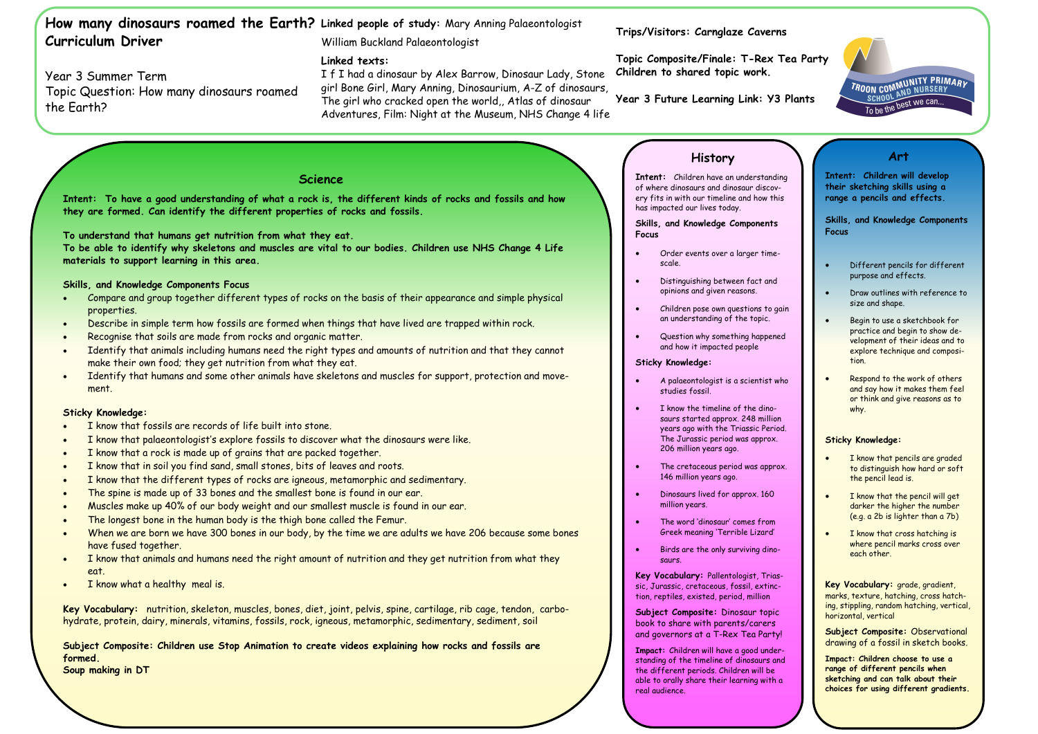Year 3 Summer Term

Topic Question: How many dinosaurs roamed

the Earth?

- I know that fossils are records of life built into stone.
- I know that palaeontologist's explore fossils to discover what the dinosaurs were like.
- I know that a rock is made up of grains that are packed together.
- I know that in soil you find sand, small stones, bits of leaves and roots.
- I know that the different types of rocks are igneous, metamorphic and sedimentary.
- The spine is made up of 33 bones and the smallest bone is found in our ear.
- Muscles make up 40% of our body weight and our smallest muscle is found in our ear.
- The longest bone in the human body is the thigh bone called the Femur.
- When we are born we have 300 bones in our body, by the time we are adults we have 206 because some bones have fused together.
- I know that animals and humans need the right amount of nutrition and they get nutrition from what they eat.
- I know what a healthy meal is.



### **How many dinosaurs roamed the Earth? Linked people of study:** Mary Anning Palaeontologist **Curriculum Driver** William Buckland Palaeontologist

**Trips/Visitors: Carnglaze Caverns**

**Topic Composite/Finale: T-Rex Tea Party Children to shared topic work.** 

**Year 3 Future Learning Link: Y3 Plants**

## **Linked texts:**

I f I had a dinosaur by Alex Barrow, Dinosaur Lady, Stone girl Bone Girl, Mary Anning, Dinosaurium, A-Z of dinosaurs, The girl who cracked open the world,, Atlas of dinosaur Adventures, Film: Night at the Museum, NHS Change 4 life

## **Science**

**Intent: To have a good understanding of what a rock is, the different kinds of rocks and fossils and how they are formed. Can identify the different properties of rocks and fossils.**

**To understand that humans get nutrition from what they eat.** 

**To be able to identify why skeletons and muscles are vital to our bodies. Children use NHS Change 4 Life materials to support learning in this area.** 

## **Skills, and Knowledge Components Focus**

- Compare and group together different types of rocks on the basis of their appearance and simple physical properties.
- Describe in simple term how fossils are formed when things that have lived are trapped within rock.
- Recognise that soils are made from rocks and organic matter.
- Identify that animals including humans need the right types and amounts of nutrition and that they cannot make their own food; they get nutrition from what they eat.
- Identify that humans and some other animals have skeletons and muscles for support, protection and movement.

## **Sticky Knowledge:**

**Key Vocabulary:** nutrition, skeleton, muscles, bones, diet, joint, pelvis, spine, cartilage, rib cage, tendon, carbohydrate, protein, dairy, minerals, vitamins, fossils, rock, igneous, metamorphic, sedimentary, sediment, soil

**Subject Composite: Children use Stop Animation to create videos explaining how rocks and fossils are formed. Soup making in DT**

# **History**

**Intent:** Children have an understanding of where dinosaurs and dinosaur discovery fits in with our timeline and how this has impacted our lives today.

**Skills, and Knowledge Components Focus**

- Order events over a larger timescale.
- Distinguishing between fact and opinions and given reasons.
- Children pose own questions to gain an understanding of the topic.
- Question why something happened and how it impacted people

### **Sticky Knowledge:**

- A palaeontologist is a scientist who studies fossil.
- I know the timeline of the dinosaurs started approx. 248 million years ago with the Triassic Period. The Jurassic period was approx. 206 million years ago.
- The cretaceous period was approx. 146 million years ago.
- Dinosaurs lived for approx. 160 million years.
- The word 'dinosaur' comes from Greek meaning 'Terrible Lizard'
- Birds are the only surviving dinosaurs.

**Key Vocabulary:** Pallentologist, Triassic, Jurassic, cretaceous, fossil, extinction, reptiles, existed, period, million

**Subject Composite:** Dinosaur topic book to share with parents/carers and governors at a T-Rex Tea Party!

**Impact:** Children will have a good understanding of the timeline of dinosaurs and the different periods. Children will be able to orally share their learning with a real audience.